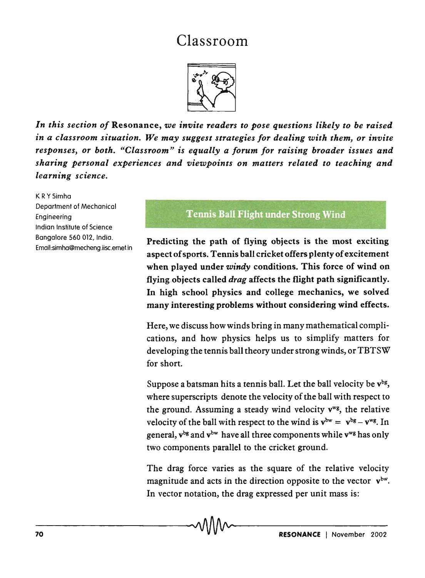## Classroom



In this section of Resonance, we invite readers to pose questions likely to be raised *in a classroom situation. We may suggest strategies for dealing with them, or invite responses, or both. "Classroom" is equally a forum for raising broader issues and*  sharing personal experiences and viewpoints on matters related to teaching and *learning science.* 

K RYSimha Department of Mechanical Engineering Indian Institute of Science Bangalore 560 012, India. Email:simha@mecheng.iisc.ernet.in

## Tennis Ball Flight under Strong Wind

Predicting the path of flying objects is the most exciting aspect of sports. Tennis ball cricket offers plenty of excitement when played under *windy* conditions. This force of wind on flying .objects called *drag* affects the fljght path significantly. In high school physics and college mechanics, we solved many interesting problems without considering wind effects.

Here, we discuss how winds bring in many mathematical complications, and how physics helps us to simplify matters for developing the tennis ball theory under strong winds, or TBTSW for short.

Suppose a batsman hits a tennis ball. Let the ball velocity be  $v^{bg}$ , where superscripts denote the velocity of the ball with respect to the ground. Assuming a steady wind velocity  $v^{wg}$ , the relative velocity of the ball with respect to the wind is  $v^{bw} = v^{bg} - v^{wg}$ . In general,  $v^{bg}$  and  $v^{bw}$  have all three components while  $v^{wg}$  has only two components parallel to the cricket ground.

The drag force varies as the square of the relative velocity magnitude and acts in the direction opposite to the vector  $v^{bw}$ . In vector notation, the drag expressed per unit mass is: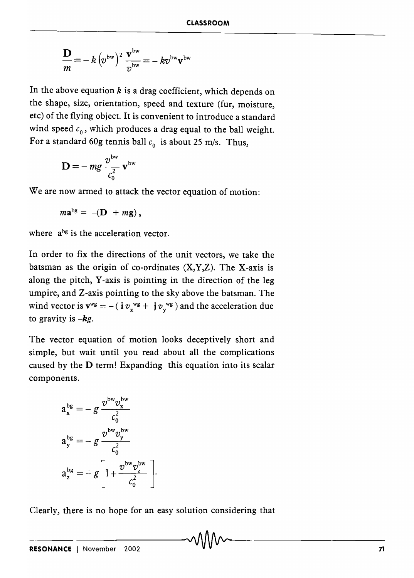$$
\frac{\mathbf{D}}{m} = -k \left(v^{bw}\right)^2 \frac{\mathbf{v}^{bw}}{v^{bw}} = -kv^{bw}\mathbf{v}^{bw}
$$

In the above equation  $k$  is a drag coefficient, which depends on the shape, size, orientation, speed and texture (fur, moisture, etc) of the flying object. It is convenient to introduce a standard wind speed  $c_0$ , which produces a drag equal to the ball weight. For a standard 60g tennis ball  $c_0$  is about 25 m/s. Thus,

$$
\mathbf{D} = -mg\frac{v^{\mathrm{bw}}}{c_0^2}\mathbf{v}^{\mathrm{bw}}
$$

We are now armed to attack the vector equation of motion:

$$
m\mathbf{a}^{\text{bg}} = -(\mathbf{D} + m\mathbf{g}),
$$

where  $a^{bg}$  is the acceleration vector.

In order to fix the directions of the unit vectors, we take the batsman as the origin of co-ordinates  $(X, Y, Z)$ . The X-axis is along the pitch, Y-axis is pointing in the direction of the leg umpire, and Z-axis pointing to the sky above the batsman. The wind vector is  $\mathbf{v}^{\text{wg}} = -(\mathbf{i} \, v_{\text{x}}^{\text{wg}} + \mathbf{j} \, v_{\text{y}}^{\text{wg}})$  and the acceleration due to gravity is *-kg.* 

The vector equation of motion looks deceptively short and simple, but wait until you read about all the complications caused by the D term! Expanding this equation into its scalar components.

$$
a_x^{bg} = -g \frac{v^{bw} v_x^{bw}}{c_0^2}
$$

$$
a_y^{bg} = -g \frac{v^{bw} v_y^{bw}}{c_0^2}
$$

$$
a_z^{bg} = -g \left[1 + \frac{v^{bw} v_z^{bw}}{c_0^2}\right]
$$

Clearly, there is no hope for an easy solution considering that

------------------------------~-------------------------------71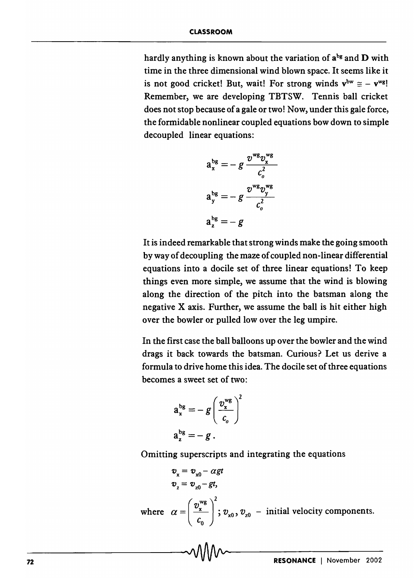hardly anything is known about the variation of  $a^{bg}$  and  $D$  with time in the three dimensional wind blown space. It seems like it is not good cricket! But, wait! For strong winds  $v^{bw} \cong -v^{wg}$ ! Remember, we are developing TBTSW. Tennis ball cricket does not stop because of a gale or two! Now, under this gale force, the formidable nonlinear coupled equations bow down to simple decoupled linear equations:

$$
a_x^{bg} = -g \frac{v^{wg} v_x^{wg}}{c_o^2}
$$

$$
a_y^{bg} = -g \frac{v^{wg} v_y^{wg}}{c_o^2}
$$

$$
a_z^{bg} = -g
$$

It is indeed remarkable that strong winds make the going smooth by way of decoupling the maze of coupled non-linear differential equations into a docile set of three linear equations! To keep things even more simple, we assume that the wind is blowing along the direction of the pitch into the batsman along the negative X axis. Further, we assume the ball is hit either high over the bowler or pulled low over the leg umpire.

In the first case the ball balloons up over the bowler and the wind drags it back towards the batsman. Curious? Let us derive a formula to drive home this idea. The docile set of three equations becomes a sweet set of two:

$$
a_x^{bg} = -g\left(\frac{v_x^{wg}}{c_o}\right)^2
$$

$$
a_z^{bg} = -g.
$$

Omitting superscripts and integrating the equations

$$
v_x = v_{x0} - \alpha gt
$$
  
\n
$$
v_z = v_{z0} - gt,
$$
  
\nwhere  $\alpha = \left(\frac{v_x^{wg}}{c_0}\right)^2$ ;  $v_{x0}$ ,  $v_{z0}$  – initial velocity components.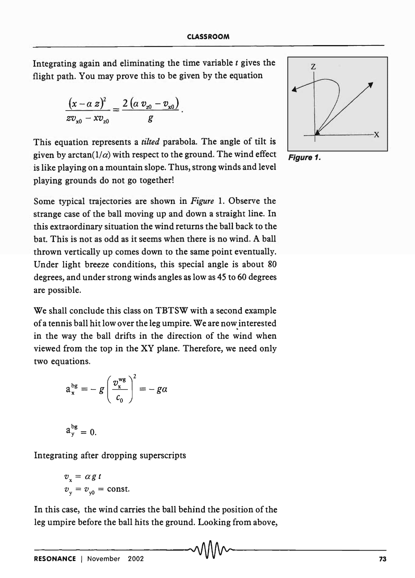Integrating again and eliminating the time variable *t* gives the flight path. You may prove this to be given by the equation

$$
\frac{(x-a \, z)^2}{zv_{x0}-xv_{z0}}=\frac{2(a \, v_{x0}-v_{x0})}{g}.
$$

This equation represents a *tilted* parabola. The angle of tilt is given by arctan( $1/\alpha$ ) with respect to the ground. The wind effect **Figure 1.** is like playing on a mountain slope. Thus, strong winds and level playing grounds do not go together!

Some typical trajectories are shown in *Figure* 1. Observe the strange case of the ball moving up and down a straight line. In this extraordinary situation the wind returns the ball back to the bat. This is not as odd as it seems when there is no wind. A ball thrown vertically up comes down to the same point eventually. Under light breeze conditions, this special angle is about 80 degrees, and under strong winds angles as low as 4S to 60 degrees are possible.

We shall conclude this class on TBTSW with a second example of a tennis ball hit low over the leg umpire. We are now interested in the way the ball drifts in the direction of the wind when viewed from the top in the XY plane. Therefore, we need only two equations.

$$
a_x^{bg} = -g\left(\frac{v_x^{wg}}{c_0}\right)^2 = -g\alpha
$$

$$
a_y^{bg}=0.
$$

Integrating after dropping superscripts

$$
v_x = \alpha g t
$$
  

$$
v_y = v_{y0} = \text{const.}
$$

In this case, the wind carries the ball behind the position of the leg umpire before the ball hits the ground. Looking from above,

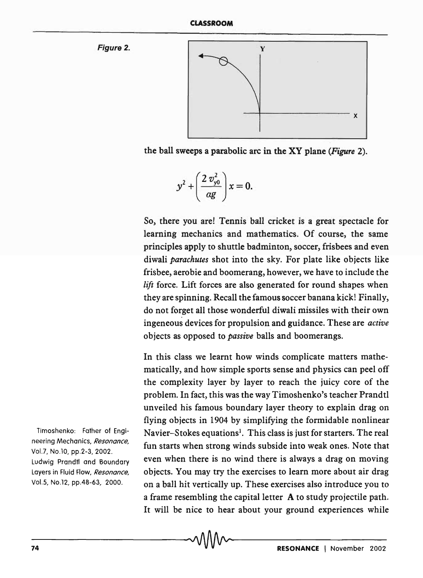Figure 2.



the ball sweeps a parabolic arc in the XY plane *(Figure 2).* 

$$
y^2 + \left(\frac{2 v_{\rm y0}^2}{\alpha g}\right) x = 0.
$$

So, there you are! Tennis ball cricket is a great spectacle for learning mechanics and mathematics. Of course, the same principles apply to shuttle badminton, soccer, frisbees and even diwali *parachutes* shot into the sky. For plate like objects like frisbee, aerobie and boomerang, however, we have to include the *lift* force. Lift forces are also generated for round shapes when they are spinning. Recall the famous soccer banana kick! Finally, do not forget all those wonderful diwali missiles with their own ingeneous devices for propulsion and guidance. These are *active*  objects as opposed to *passive* balls and boomerangs.

In this class we learnt how winds complicate matters mathematically, and how simple sports sense and physics can peel off the complexity layer by layer to reach the juicy core of the problem. In fact, this was the way Timoshenko's teacher Prandtl unveiled his famous boundary layer theory to explain drag on flying objects in 1904 by simplifying the formidable nonlinear Navier–Stokes equations<sup>1</sup>. This class is just for starters. The real fun starts when strong winds subside into weak ones. Note that even when there is no wind there is always a drag on moving objects. You may try the exercises to learn more about air drag on a ball hit vertically up. These exercises also introduce you to a frame resembling the capital letter A to study projectile path. It will be nice to hear about your ground experiences while

Timoshenko: Father of Engineering Mechanics, *Resonance,*  Vol.7, No.lO, pp.2-3, 2002. Ludwig Prandtl and Boundary Layers in Fluid Flow, *Resonance,*  Vol.5, No.12, pp.48-63, 2000.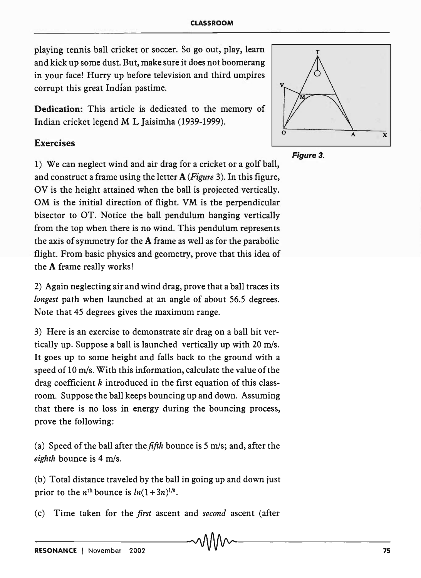playing tennis ball cricket or soccer. So go out, play, learn and kick up some dust. But, make sure it does not boomerang in your face! Hurry up before television and third umpires corrupt this great Indian pastime.

Dedication: This article is dedicated to the memory of Indian cricket legend M L Jaisimha (1939-1999).

## Exercises

1) We can neglect wind and air drag for a cricket or a golf ball, and construct a frame using the letter A *(Figure* 3). In this figure, OV is the height attained when the ball is projected vertically. OM is the initial direction of flight. VM is the perpendicular bisector to OT. Notice the ball pendulum hanging vertically from the top when there is no wind. This pendulum represents the axis of symmetry for the A frame as well as for the parabolic flight. From basic physics and geometry, prove that this idea of the A frame really works!

2) Again neglecting air and wind drag, prove that a ball traces its *longest* path when launched at an angle of about 56.5 degrees. Note that 45 degrees gives the maximum range.

3) Here is an exercise to demonstrate air drag on a ball hit vertically up. Suppose a ball is launched vertically up with 20 *mls.*  It goes up to some height and falls back to the ground with a speed of 10 *m/s.* With this information, calculate the value of the drag coefficient  $k$  introduced in the first equation of this classroom. Suppose the ball keeps bouncing up and down. Assuming that there is no loss in energy during the bouncing process, prove the following:

(a) Speed of the ball after the *fifth* bounce is 5 m/s; and, after the *eighth* bounce is 4 m/s.

(b) Total distance traveled by the ball in going up and down just prior to the  $n^{\text{th}}$  bounce is  $ln(1+3n)^{1/k}$ .

(c) Time taken for the *first* ascent and *second* ascent (after